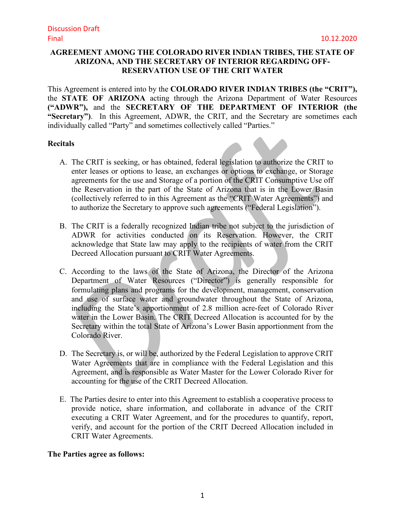## **AGREEMENT AMONG THE COLORADO RIVER INDIAN TRIBES, THE STATE OF ARIZONA, AND THE SECRETARY OF INTERIOR REGARDING OFF-RESERVATION USE OF THE CRIT WATER**

This Agreement is entered into by the **COLORADO RIVER INDIAN TRIBES (the "CRIT"),**  the **STATE OF ARIZONA** acting through the Arizona Department of Water Resources **("ADWR"),** and the **SECRETARY OF THE DEPARTMENT OF INTERIOR (the "Secretary")**. In this Agreement, ADWR, the CRIT, and the Secretary are sometimes each individually called "Party" and sometimes collectively called "Parties."

## **Recitals**

- A. The CRIT is seeking, or has obtained, federal legislation to authorize the CRIT to enter leases or options to lease, an exchanges or options to exchange, or Storage agreements for the use and Storage of a portion of the CRIT Consumptive Use off the Reservation in the part of the State of Arizona that is in the Lower Basin (collectively referred to in this Agreement as the "CRIT Water Agreements") and to authorize the Secretary to approve such agreements ("Federal Legislation").
- B. The CRIT is a federally recognized Indian tribe not subject to the jurisdiction of ADWR for activities conducted on its Reservation. However, the CRIT acknowledge that State law may apply to the recipients of water from the CRIT Decreed Allocation pursuant to CRIT Water Agreements.
- C. According to the laws of the State of Arizona, the Director of the Arizona Department of Water Resources ("Director") is generally responsible for formulating plans and programs for the development, management, conservation and use of surface water and groundwater throughout the State of Arizona, including the State's apportionment of 2.8 million acre-feet of Colorado River water in the Lower Basin. The CRIT Decreed Allocation is accounted for by the Secretary within the total State of Arizona's Lower Basin apportionment from the Colorado River.
- D. The Secretary is, or will be, authorized by the Federal Legislation to approve CRIT Water Agreements that are in compliance with the Federal Legislation and this Agreement, and is responsible as Water Master for the Lower Colorado River for accounting for the use of the CRIT Decreed Allocation.
- E. The Parties desire to enter into this Agreement to establish a cooperative process to provide notice, share information, and collaborate in advance of the CRIT executing a CRIT Water Agreement, and for the procedures to quantify, report, verify, and account for the portion of the CRIT Decreed Allocation included in CRIT Water Agreements.

## **The Parties agree as follows:**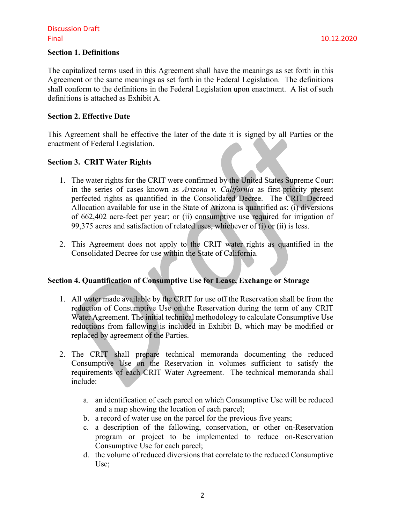# Discussion Draft Final 10.12.2020

#### **Section 1. Definitions**

The capitalized terms used in this Agreement shall have the meanings as set forth in this Agreement or the same meanings as set forth in the Federal Legislation. The definitions shall conform to the definitions in the Federal Legislation upon enactment. A list of such definitions is attached as Exhibit A.

#### **Section 2. Effective Date**

This Agreement shall be effective the later of the date it is signed by all Parties or the enactment of Federal Legislation.

## **Section 3. CRIT Water Rights**

- 1. The water rights for the CRIT were confirmed by the United States Supreme Court in the series of cases known as *Arizona v. California* as first-priority present perfected rights as quantified in the Consolidated Decree. The CRIT Decreed Allocation available for use in the State of Arizona is quantified as: (i) diversions of 662,402 acre-feet per year; or (ii) consumptive use required for irrigation of 99,375 acres and satisfaction of related uses, whichever of (i) or (ii) is less.
- 2. This Agreement does not apply to the CRIT water rights as quantified in the Consolidated Decree for use within the State of California.

# **Section 4. Quantification of Consumptive Use for Lease, Exchange or Storage**

- 1. All water made available by the CRIT for use off the Reservation shall be from the reduction of Consumptive Use on the Reservation during the term of any CRIT Water Agreement. The initial technical methodology to calculate Consumptive Use reductions from fallowing is included in Exhibit B, which may be modified or replaced by agreement of the Parties.
- 2. The CRIT shall prepare technical memoranda documenting the reduced Consumptive Use on the Reservation in volumes sufficient to satisfy the requirements of each CRIT Water Agreement. The technical memoranda shall include:
	- a. an identification of each parcel on which Consumptive Use will be reduced and a map showing the location of each parcel;
	- b. a record of water use on the parcel for the previous five years;
	- c. a description of the fallowing, conservation, or other on-Reservation program or project to be implemented to reduce on-Reservation Consumptive Use for each parcel;
	- d. the volume of reduced diversions that correlate to the reduced Consumptive Use;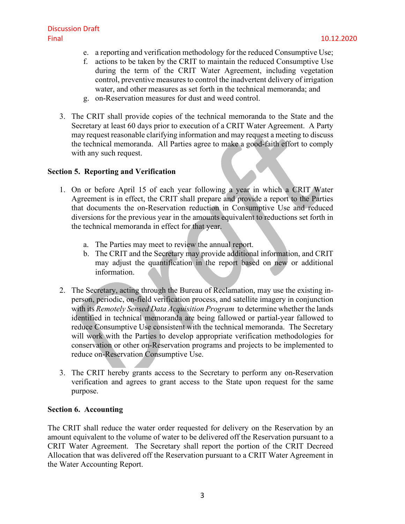- e. a reporting and verification methodology for the reduced Consumptive Use;
- f. actions to be taken by the CRIT to maintain the reduced Consumptive Use during the term of the CRIT Water Agreement, including vegetation control, preventive measures to control the inadvertent delivery of irrigation water, and other measures as set forth in the technical memoranda; and
- g. on-Reservation measures for dust and weed control.
- 3. The CRIT shall provide copies of the technical memoranda to the State and the Secretary at least 60 days prior to execution of a CRIT Water Agreement. A Party may request reasonable clarifying information and may request a meeting to discuss the technical memoranda. All Parties agree to make a good-faith effort to comply with any such request.

## **Section 5. Reporting and Verification**

- 1. On or before April 15 of each year following a year in which a CRIT Water Agreement is in effect, the CRIT shall prepare and provide a report to the Parties that documents the on-Reservation reduction in Consumptive Use and reduced diversions for the previous year in the amounts equivalent to reductions set forth in the technical memoranda in effect for that year.
	- a. The Parties may meet to review the annual report.
	- b. The CRIT and the Secretary may provide additional information, and CRIT may adjust the quantification in the report based on new or additional information.
- 2. The Secretary, acting through the Bureau of Reclamation, may use the existing inperson, periodic, on-field verification process, and satellite imagery in conjunction with its *Remotely Sensed Data Acquisition Program* to determine whether the lands identified in technical memoranda are being fallowed or partial-year fallowed to reduce Consumptive Use consistent with the technical memoranda. The Secretary will work with the Parties to develop appropriate verification methodologies for conservation or other on-Reservation programs and projects to be implemented to reduce on-Reservation Consumptive Use.
- 3. The CRIT hereby grants access to the Secretary to perform any on-Reservation verification and agrees to grant access to the State upon request for the same purpose.

## **Section 6. Accounting**

The CRIT shall reduce the water order requested for delivery on the Reservation by an amount equivalent to the volume of water to be delivered off the Reservation pursuant to a CRIT Water Agreement. The Secretary shall report the portion of the CRIT Decreed Allocation that was delivered off the Reservation pursuant to a CRIT Water Agreement in the Water Accounting Report.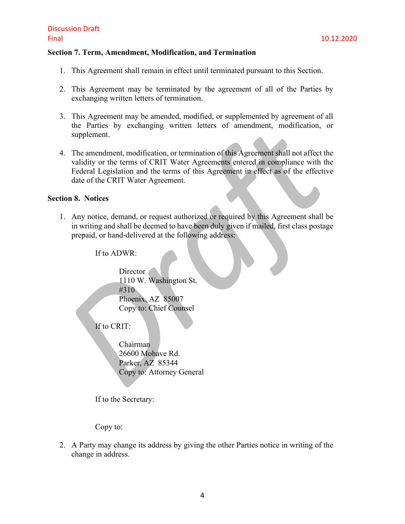#### **Section 7. Term, Amendment, Modification, and Termination**

- 1. This Agreement shall remain in effect until terminated pursuant to this Section.
- 2. This Agreement may be terminated by the agreement of all of the Parties by exchanging written letters of termination.
- 3. This Agreement may be amended, modified, or supplemented by agreement of all the Parties by exchanging written letters of amendment, modification, or supplement.
- 4. The amendment, modification, or termination of this Agreement shall not affect the validity or the terms of CRIT Water Agreements entered in compliance with the Federal Legislation and the terms of this Agreement in effect as of the effective date of the CRIT Water Agreement.

#### **Section 8. Notices**

1. Any notice, demand, or request authorized or required by this Agreement shall be in writing and shall be deemed to have been duly given if mailed, first class postage prepaid, or hand-delivered at the following address:

If to ADWR:

Director 1110 W. Washington St. #310 Phoenix, AZ 85007 Copy to: Chief Counsel

If to CRIT:

Chairman 26600 Mohave Rd. Parker, AZ 85344 Copy to: Attorney General

If to the Secretary:

Copy to:

2. A Party may change its address by giving the other Parties notice in writing of the change in address.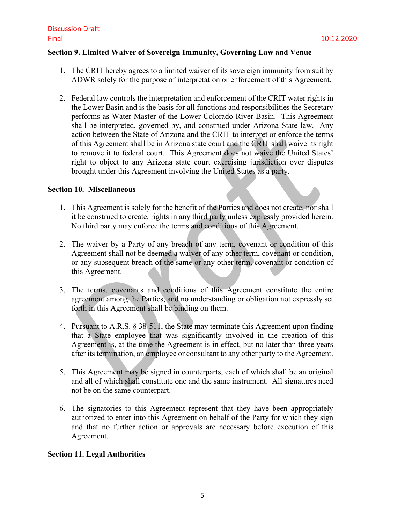#### **Section 9. Limited Waiver of Sovereign Immunity, Governing Law and Venue**

- 1. The CRIT hereby agrees to a limited waiver of its sovereign immunity from suit by ADWR solely for the purpose of interpretation or enforcement of this Agreement.
- 2. Federal law controls the interpretation and enforcement of the CRIT water rights in the Lower Basin and is the basis for all functions and responsibilities the Secretary performs as Water Master of the Lower Colorado River Basin. This Agreement shall be interpreted, governed by, and construed under Arizona State law. Any action between the State of Arizona and the CRIT to interpret or enforce the terms of this Agreement shall be in Arizona state court and the CRIT shall waive its right to remove it to federal court. This Agreement does not waive the United States' right to object to any Arizona state court exercising jurisdiction over disputes brought under this Agreement involving the United States as a party.

#### **Section 10. Miscellaneous**

- 1. This Agreement is solely for the benefit of the Parties and does not create, nor shall it be construed to create, rights in any third party unless expressly provided herein. No third party may enforce the terms and conditions of this Agreement.
- 2. The waiver by a Party of any breach of any term, covenant or condition of this Agreement shall not be deemed a waiver of any other term, covenant or condition, or any subsequent breach of the same or any other term, covenant or condition of this Agreement.
- 3. The terms, covenants and conditions of this Agreement constitute the entire agreement among the Parties, and no understanding or obligation not expressly set forth in this Agreement shall be binding on them.
- 4. Pursuant to A.R.S. § 38-511, the State may terminate this Agreement upon finding that a State employee that was significantly involved in the creation of this Agreement is, at the time the Agreement is in effect, but no later than three years after its termination, an employee or consultant to any other party to the Agreement.
- 5. This Agreement may be signed in counterparts, each of which shall be an original and all of which shall constitute one and the same instrument. All signatures need not be on the same counterpart.
- 6. The signatories to this Agreement represent that they have been appropriately authorized to enter into this Agreement on behalf of the Party for which they sign and that no further action or approvals are necessary before execution of this Agreement.

## **Section 11. Legal Authorities**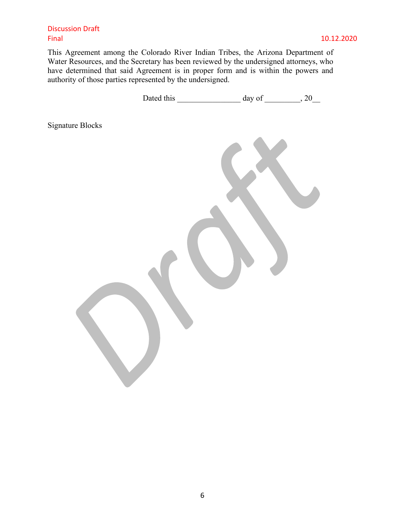## Discussion Draft Final 10.12.2020

This Agreement among the Colorado River Indian Tribes, the Arizona Department of Water Resources, and the Secretary has been reviewed by the undersigned attorneys, who have determined that said Agreement is in proper form and is within the powers and authority of those parties represented by the undersigned.

|                         | Dated this | day of __________, 20 |  |
|-------------------------|------------|-----------------------|--|
| <b>Signature Blocks</b> |            |                       |  |
|                         |            |                       |  |
|                         |            |                       |  |
|                         |            |                       |  |
|                         |            |                       |  |
|                         |            |                       |  |
|                         |            |                       |  |
|                         |            |                       |  |
|                         |            |                       |  |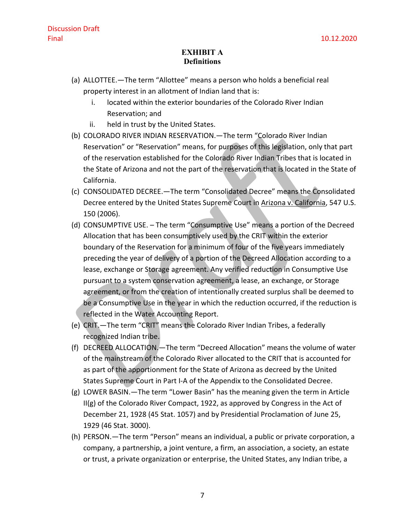# **EXHIBIT A Definitions**

- (a) ALLOTTEE.—The term "Allottee" means a person who holds a beneficial real property interest in an allotment of Indian land that is:
	- i. located within the exterior boundaries of the Colorado River Indian Reservation; and
	- ii. held in trust by the United States.
- (b) COLORADO RIVER INDIAN RESERVATION.—The term "Colorado River Indian Reservation" or "Reservation" means, for purposes of this legislation, only that part of the reservation established for the Colorado River Indian Tribes that is located in the State of Arizona and not the part of the reservation that is located in the State of California.
- (c) CONSOLIDATED DECREE.—The term "Consolidated Decree" means the Consolidated Decree entered by the United States Supreme Court in Arizona v. California, 547 U.S. 150 (2006).
- (d) CONSUMPTIVE USE. The term "Consumptive Use" means a portion of the Decreed Allocation that has been consumptively used by the CRIT within the exterior boundary of the Reservation for a minimum of four of the five years immediately preceding the year of delivery of a portion of the Decreed Allocation according to a lease, exchange or Storage agreement. Any verified reduction in Consumptive Use pursuant to a system conservation agreement, a lease, an exchange, or Storage agreement, or from the creation of intentionally created surplus shall be deemed to be a Consumptive Use in the year in which the reduction occurred, if the reduction is reflected in the Water Accounting Report.
- (e) CRIT.—The term "CRIT" means the Colorado River Indian Tribes, a federally recognized Indian tribe.
- (f) DECREED ALLOCATION.—The term "Decreed Allocation" means the volume of water of the mainstream of the Colorado River allocated to the CRIT that is accounted for as part of the apportionment for the State of Arizona as decreed by the United States Supreme Court in Part I-A of the Appendix to the Consolidated Decree.
- (g) LOWER BASIN.—The term "Lower Basin" has the meaning given the term in Article II(g) of the Colorado River Compact, 1922, as approved by Congress in the Act of December 21, 1928 (45 Stat. 1057) and by Presidential Proclamation of June 25, 1929 (46 Stat. 3000).
- (h) PERSON.—The term "Person" means an individual, a public or private corporation, a company, a partnership, a joint venture, a firm, an association, a society, an estate or trust, a private organization or enterprise, the United States, any Indian tribe, a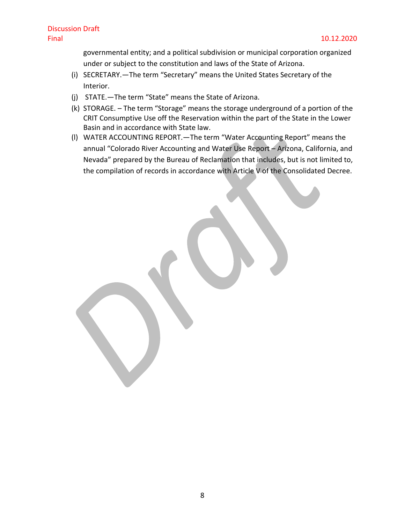governmental entity; and a political subdivision or municipal corporation organized under or subject to the constitution and laws of the State of Arizona.

- (i) SECRETARY.—The term "Secretary" means the United States Secretary of the Interior.
- (j) STATE.—The term "State" means the State of Arizona.
- (k) STORAGE. The term "Storage" means the storage underground of a portion of the CRIT Consumptive Use off the Reservation within the part of the State in the Lower Basin and in accordance with State law.
- (l) WATER ACCOUNTING REPORT.—The term "Water Accounting Report" means the annual "Colorado River Accounting and Water Use Report – Arizona, California, and Nevada" prepared by the Bureau of Reclamation that includes, but is not limited to, the compilation of records in accordance with Article V of the Consolidated Decree.